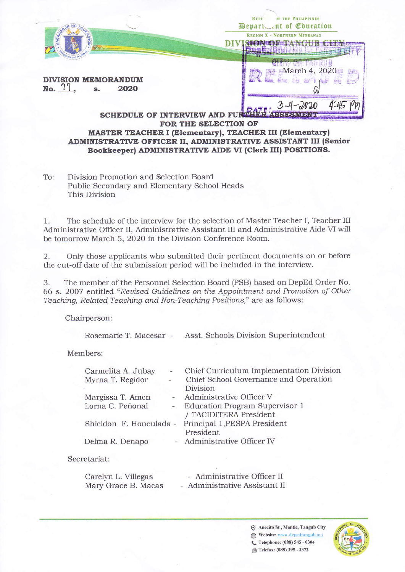|                                              | <b>JF THE PHILIPPINES</b><br>REPP<br>Depart ent of Education |
|----------------------------------------------|--------------------------------------------------------------|
| AGAIN                                        | <b>REGION X - NORTHERN MINDANAO</b>                          |
| <b>DIVISION MEMORANDUM</b><br>No. 77<br>2020 | March 4,                                                     |
| <b>SCHEDULE OF INTERVIEW AND</b>             |                                                              |

## FOR THE SELECTION OF **MASTER TEACHER I (Elementary), TEACHER III (Elementary)** ADMINISTRATIVE OFFICER II, ADMINISTRATIVE ASSISTANT III (Senior Bookkeeper) ADMINISTRATIVE AIDE VI (Clerk III) POSITIONS.

Division Promotion and Selection Board To: Public Secondary and Elementary School Heads This Division

The schedule of the interview for the selection of Master Teacher I, Teacher III 1. Administrative Officer II, Administrative Assistant III and Administrative Aide VI will be tomorrow March 5, 2020 in the Division Conference Room.

Only those applicants who submitted their pertinent documents on or before  $2.$ the cut-off date of the submission period will be included in the interview.

3. The member of the Personnel Selection Board (PSB) based on DepEd Order No. 66 s. 2007 entitled "Revised Guidelines on the Appointment and Promotion of Other Teaching, Related Teaching and Non-Teaching Positions," are as follows:

Chairperson:

Rosemarie T. Macesar - Asst. Schools Division Superintendent

Members:

| Carmelita A. Jubay      | ÷              | Chief Curriculum Implementation Division |
|-------------------------|----------------|------------------------------------------|
| Myrna T. Regidor        | $\overline{a}$ | Chief School Governance and Operation    |
|                         |                | Division.                                |
| Margissa T. Amen        |                | - Administrative Officer V               |
| Lorna C. Peñonal        |                | - Education Program Supervisor 1         |
|                         |                | / TACIDITERA President                   |
| Shieldon F. Honculada - |                | Principal 1, PESPA President             |
|                         |                | President                                |
| Delma R. Denapo         |                | - Administrative Officer IV              |
|                         |                |                                          |
|                         |                |                                          |

## Secretariat:

- Administrative Officer II Carelyn L. Villegas Mary Grace B. Macas - Administrative Assistant II